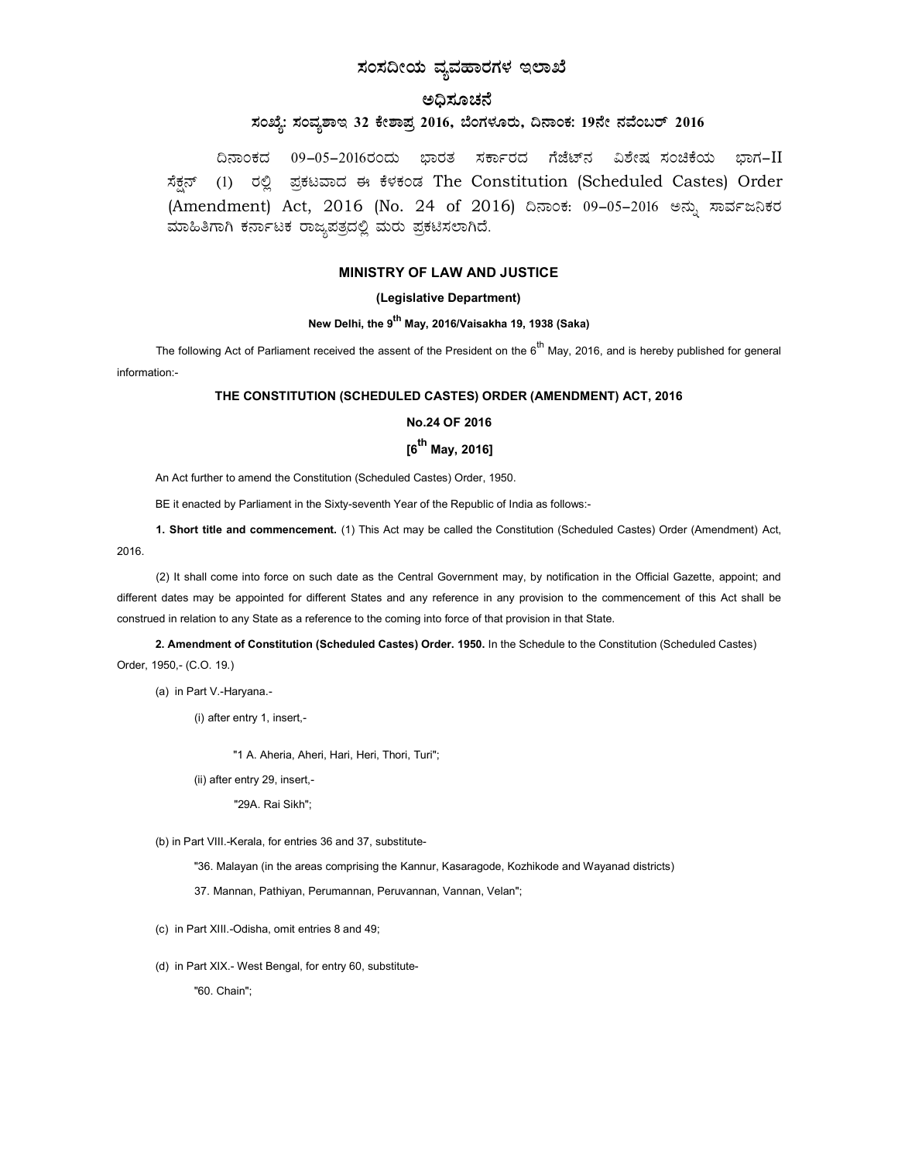# ಸಂಸದೀಯ ವ್ಯವಹಾರಗಳ ಇಲಾಖೆ

## ಅಧಿಸೂಚನೆ

## ಸಂಖ್ಯೆ: ಸಂವ್ಯಶಾಇ 32 ಕೇಶಾಪ್ರ 2016, ಬೆಂಗಳೂರು, ದಿನಾಂಕ: 19ನೇ ನವೆಂಬರ್ 2016

ದಿನಾಂಕದ 09−05−2016ರಂದು ಭಾರತ ಸರ್ಕಾರದ ಗೆಜೆಟ್ನ ವಿಶೇಷ ಸಂಚಿಕೆಯ ಭಾಗ–II ಸೆಕ್ಷನ್ (1) ರಲ್ಲಿ ಪ್ರಕಟವಾದ ಈ ಕೆಳಕಂಡ The Constitution (Scheduled Castes) Order (Amendment) Act, 2016 (No. 24 of 2016) ದಿನಾಂಕ: 09-05-2016 ಅನ್ನು ಸಾರ್ವಜನಿಕರ ಮಾಹಿತಿಗಾಗಿ ಕರ್ನಾಟಕ ರಾಜ್ಯಪತ್ರದಲ್ಲಿ ಮರು ಪ್ರಕಟಿಸಲಾಗಿದೆ.

### MINISTRY OF LAW AND JUSTICE

#### (Legislative Department)

## New Delhi, the 9<sup>th</sup> May, 2016/Vaisakha 19, 1938 (Saka)

The following Act of Parliament received the assent of the President on the  $6^{th}$  May, 2016, and is hereby published for general information:-

#### THE CONSTITUTION (SCHEDULED CASTES) ORDER (AMENDMENT) ACT, 2016

#### No.24 OF 2016

## $[6^{th}$  May, 2016]

An Act further to amend the Constitution (Scheduled Castes) Order, 1950.

BE it enacted by Parliament in the Sixty-seventh Year of the Republic of India as follows:-

1. Short title and commencement. (1) This Act may be called the Constitution (Scheduled Castes) Order (Amendment) Act, 2016.

(2) It shall come into force on such date as the Central Government may, by notification in the Official Gazette, appoint; and different dates may be appointed for different States and any reference in any provision to the commencement of this Act shall be construed in relation to any State as a reference to the coming into force of that provision in that State.

2. Amendment of Constitution (Scheduled Castes) Order. 1950. In the Schedule to the Constitution (Scheduled Castes) Order, 1950,- (C.O. 19.)

(a) in Part V.-Haryana.-

(i) after entry 1, insert,-

"1 A. Aheria, Aheri, Hari, Heri, Thori, Turi";

(ii) after entry 29, insert,-

"29A. Rai Sikh";

(b) in Part VIII.-Kerala, for entries 36 and 37, substitute-

"36. Malayan (in the areas comprising the Kannur, Kasaragode, Kozhikode and Wayanad districts)

37. Mannan, Pathiyan, Perumannan, Peruvannan, Vannan, Velan";

(c) in Part XIII.-Odisha, omit entries 8 and 49;

(d) in Part XIX.- West Bengal, for entry 60, substitute-

"60. Chain";